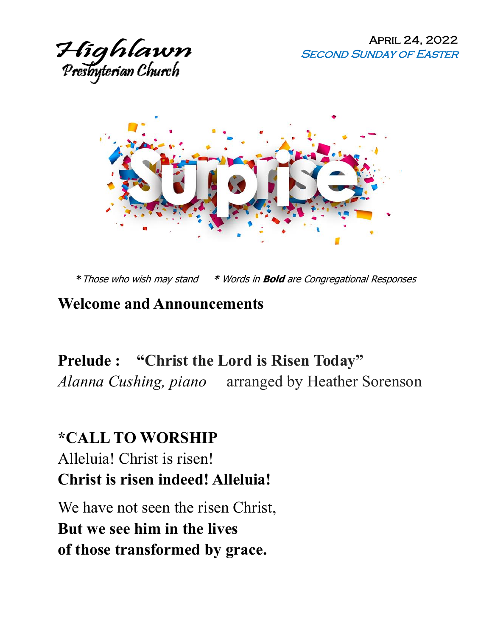

April 24, 2022 **SECOND SUNDAY OF EASTER** 



**\***Those who wish may stand **\*** Words in **Bold** are Congregational Responses

#### **Welcome and Announcements**

**Prelude : "Christ the Lord is Risen Today"**  *Alanna Cushing, piano* arranged by Heather Sorenson

# **\*CALL TO WORSHIP** Alleluia! Christ is risen! **Christ is risen indeed! Alleluia!**

We have not seen the risen Christ, **But we see him in the lives of those transformed by grace.**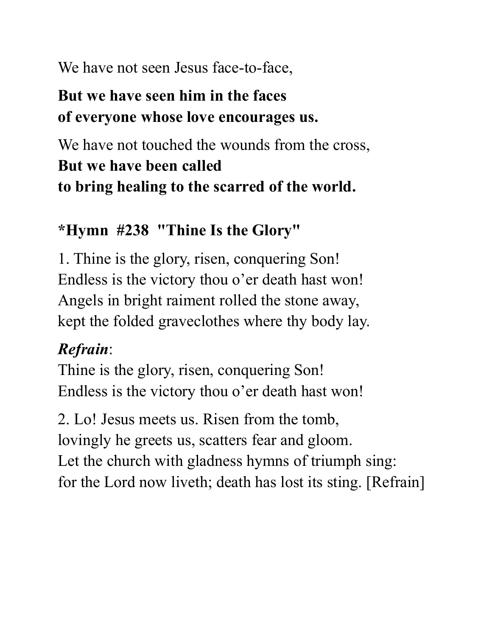We have not seen Jesus face-to-face,

## **But we have seen him in the faces of everyone whose love encourages us.**

We have not touched the wounds from the cross, **But we have been called to bring healing to the scarred of the world.**

## **\*Hymn #238 "Thine Is the Glory"**

1. Thine is the glory, risen, conquering Son! Endless is the victory thou o'er death hast won! Angels in bright raiment rolled the stone away, kept the folded graveclothes where thy body lay.

## *Refrain*:

Thine is the glory, risen, conquering Son! Endless is the victory thou o'er death hast won!

2. Lo! Jesus meets us. Risen from the tomb, lovingly he greets us, scatters fear and gloom. Let the church with gladness hymns of triumph sing: for the Lord now liveth; death has lost its sting. [Refrain]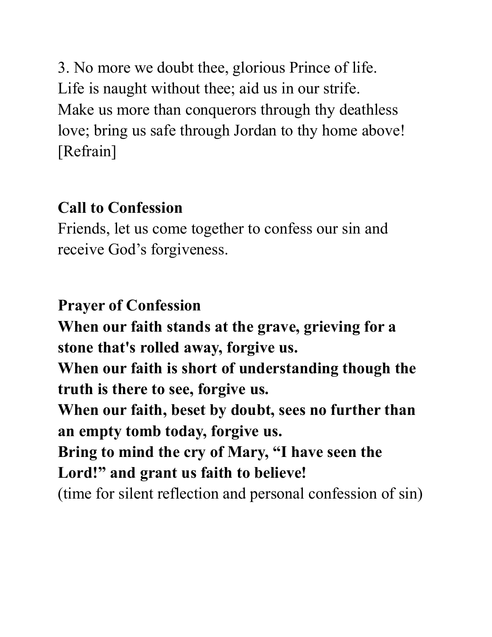3. No more we doubt thee, glorious Prince of life. Life is naught without thee; aid us in our strife. Make us more than conquerors through thy deathless love; bring us safe through Jordan to thy home above! [Refrain]

## **Call to Confession**

Friends, let us come together to confess our sin and receive God's forgiveness.

# **Prayer of Confession**

**When our faith stands at the grave, grieving for a stone that's rolled away, forgive us. When our faith is short of understanding though the truth is there to see, forgive us. When our faith, beset by doubt, sees no further than an empty tomb today, forgive us. Bring to mind the cry of Mary, "I have seen the Lord!" and grant us faith to believe!** 

(time for silent reflection and personal confession of sin)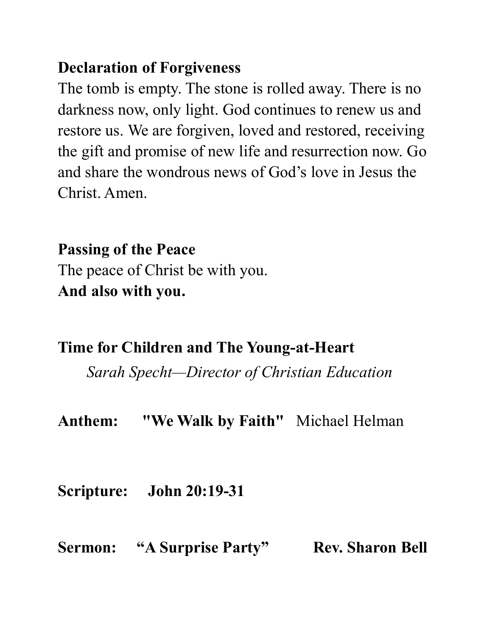## **Declaration of Forgiveness**

The tomb is empty. The stone is rolled away. There is no darkness now, only light. God continues to renew us and restore us. We are forgiven, loved and restored, receiving the gift and promise of new life and resurrection now. Go and share the wondrous news of God's love in Jesus the Christ. Amen.

**Passing of the Peace**  The peace of Christ be with you. **And also with you.** 

## **Time for Children and The Young-at-Heart**

*Sarah Specht—Director of Christian Education*

**Anthem: "We Walk by Faith"** Michael Helman

**Scripture: John 20:19-31**

Sermon: "A Surprise Party" Rev. Sharon Bell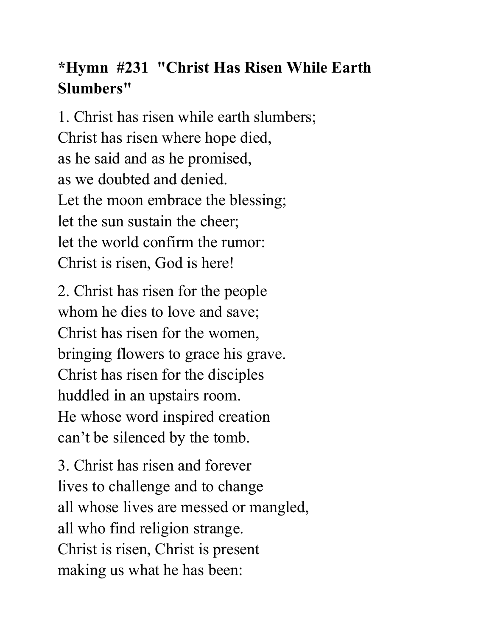# **\*Hymn #231 "Christ Has Risen While Earth Slumbers"**

1. Christ has risen while earth slumbers; Christ has risen where hope died, as he said and as he promised, as we doubted and denied. Let the moon embrace the blessing; let the sun sustain the cheer; let the world confirm the rumor: Christ is risen, God is here!

2. Christ has risen for the people whom he dies to love and save; Christ has risen for the women, bringing flowers to grace his grave. Christ has risen for the disciples huddled in an upstairs room. He whose word inspired creation can't be silenced by the tomb.

3. Christ has risen and forever lives to challenge and to change all whose lives are messed or mangled, all who find religion strange. Christ is risen, Christ is present making us what he has been: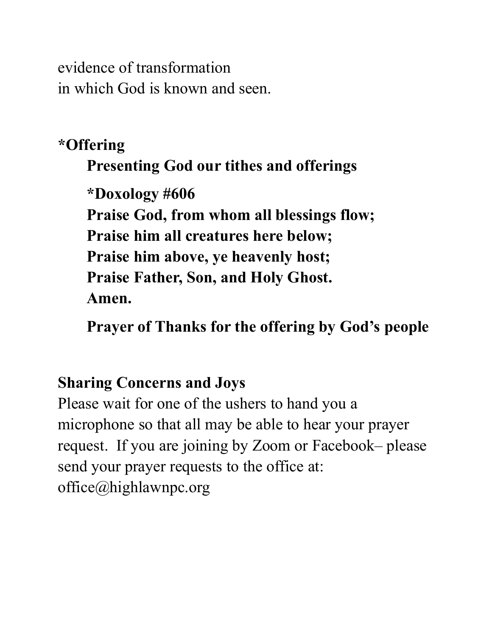evidence of transformation in which God is known and seen.

## **\*Offering**

## **Presenting God our tithes and offerings**

**\*Doxology #606 Praise God, from whom all blessings flow; Praise him all creatures here below; Praise him above, ye heavenly host; Praise Father, Son, and Holy Ghost. Amen.**

**Prayer of Thanks for the offering by God's people**

## **Sharing Concerns and Joys**

Please wait for one of the ushers to hand you a microphone so that all may be able to hear your prayer request. If you are joining by Zoom or Facebook– please send your prayer requests to the office at: office@highlawnpc.org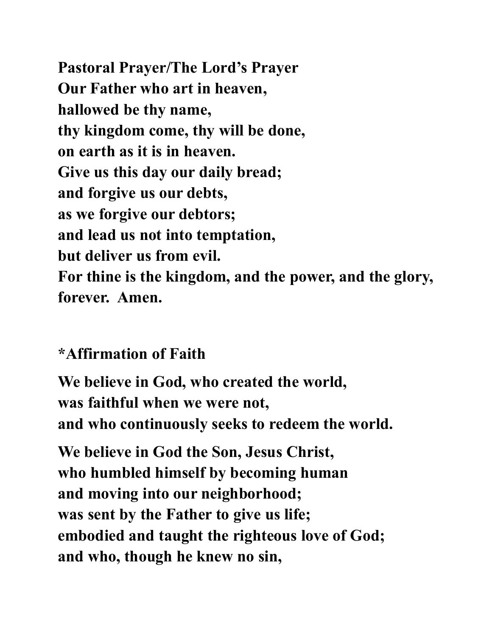**Pastoral Prayer/The Lord's Prayer Our Father who art in heaven, hallowed be thy name, thy kingdom come, thy will be done, on earth as it is in heaven. Give us this day our daily bread; and forgive us our debts, as we forgive our debtors; and lead us not into temptation, but deliver us from evil. For thine is the kingdom, and the power, and the glory, forever. Amen.** 

## **\*Affirmation of Faith**

**We believe in God, who created the world, was faithful when we were not, and who continuously seeks to redeem the world.**

**We believe in God the Son, Jesus Christ, who humbled himself by becoming human and moving into our neighborhood; was sent by the Father to give us life; embodied and taught the righteous love of God; and who, though he knew no sin,**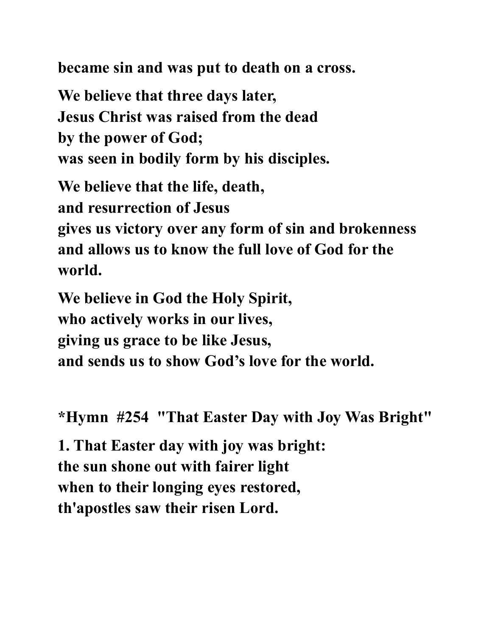**became sin and was put to death on a cross.**

**We believe that three days later, Jesus Christ was raised from the dead by the power of God; was seen in bodily form by his disciples.**

**We believe that the life, death, and resurrection of Jesus** 

**gives us victory over any form of sin and brokenness and allows us to know the full love of God for the world.**

**We believe in God the Holy Spirit, who actively works in our lives, giving us grace to be like Jesus, and sends us to show God's love for the world.**

**\*Hymn #254 "That Easter Day with Joy Was Bright"**

**1. That Easter day with joy was bright: the sun shone out with fairer light when to their longing eyes restored, th'apostles saw their risen Lord.**